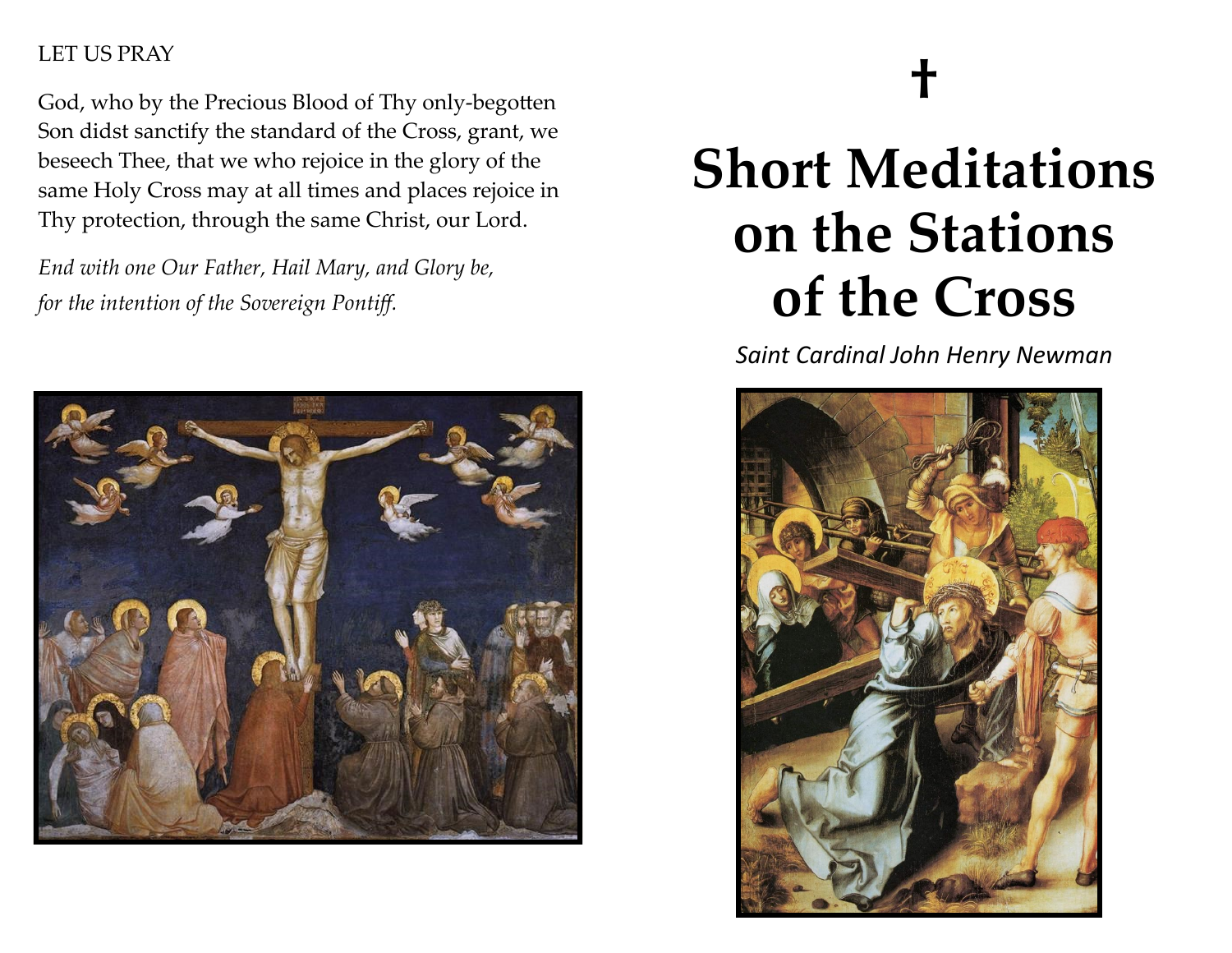#### LET US PRAY

God, who by the Precious Blood of Thy only-begotten Son didst sanctify the standard of the Cross, grant, we beseech Thee, that we who rejoice in the glory of the same Holy Cross may at all times and places rejoice in Thy protection, through the same Christ, our Lord.

*End with one Our Father, Hail Mary, and Glory be, for the intention of the Sovereign Pontiff.*



# **†**

# **Short Meditations on the Stations of the Cross**

*Saint Cardinal John Henry Newman* 

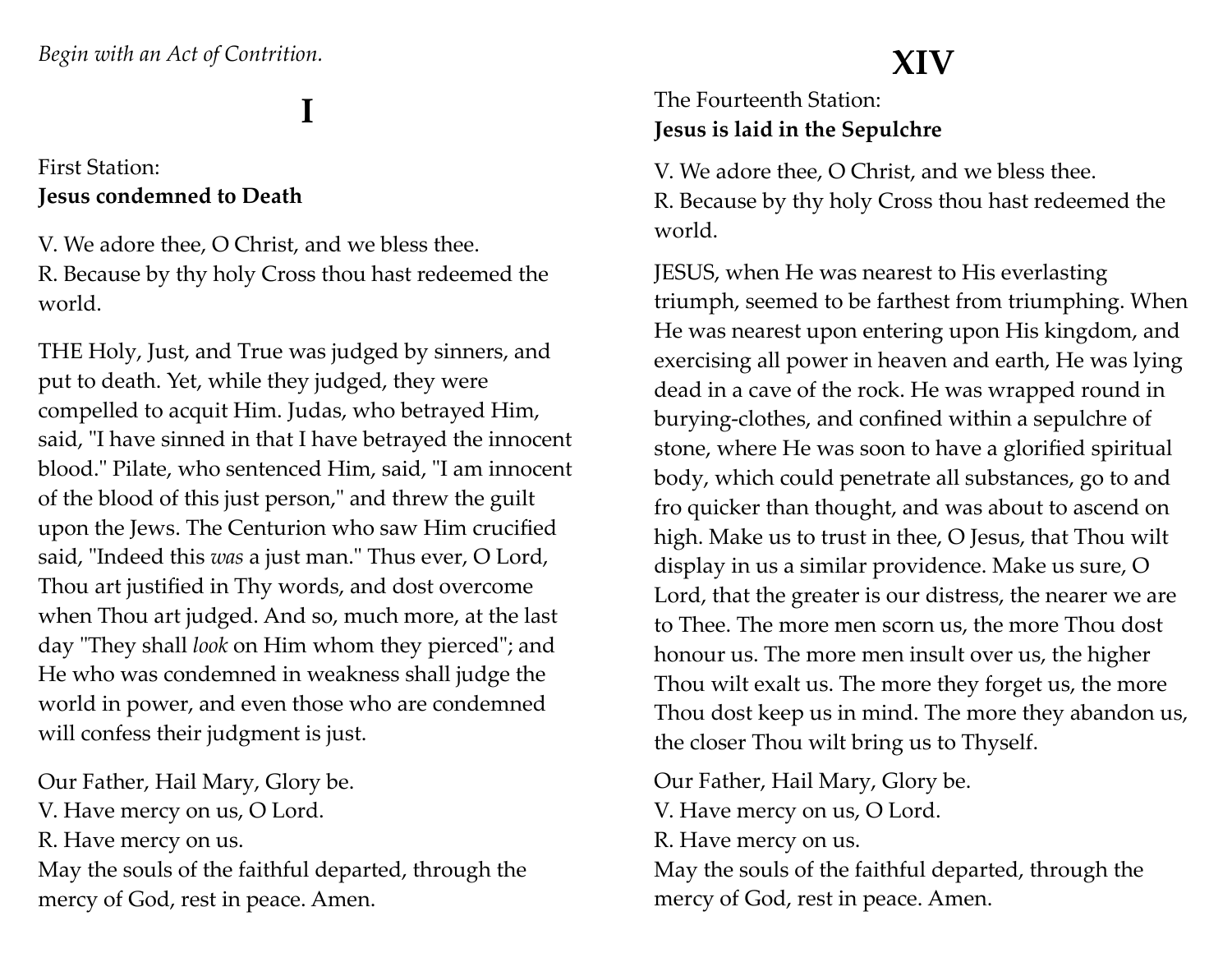### **I**

#### First Station: **Jesus condemned to Death**

V. We adore thee, O Christ, and we bless thee. R. Because by thy holy Cross thou hast redeemed the world.

THE Holy, Just, and True was judged by sinners, and put to death. Yet, while they judged, they were compelled to acquit Him. Judas, who betrayed Him, said, "I have sinned in that I have betrayed the innocent blood." Pilate, who sentenced Him, said, "I am innocent of the blood of this just person," and threw the guilt upon the Jews. The Centurion who saw Him crucified said, "Indeed this *was* a just man." Thus ever, O Lord, Thou art justified in Thy words, and dost overcome when Thou art judged. And so, much more, at the last day "They shall *look* on Him whom they pierced"; and He who was condemned in weakness shall judge the world in power, and even those who are condemned will confess their judgment is just.

Our Father, Hail Mary, Glory be. V. Have mercy on us, O Lord. R. Have mercy on us. May the souls of the faithful departed, through the mercy of God, rest in peace. Amen.

### **XIV**

#### The Fourteenth Station: **Jesus is laid in the Sepulchre**

V. We adore thee, O Christ, and we bless thee. R. Because by thy holy Cross thou hast redeemed the world.

JESUS, when He was nearest to His everlasting triumph, seemed to be farthest from triumphing. When He was nearest upon entering upon His kingdom, and exercising all power in heaven and earth, He was lying dead in a cave of the rock. He was wrapped round in burying-clothes, and confined within a sepulchre of stone, where He was soon to have a glorified spiritual body, which could penetrate all substances, go to and fro quicker than thought, and was about to ascend on high. Make us to trust in thee, O Jesus, that Thou wilt display in us a similar providence. Make us sure, O Lord, that the greater is our distress, the nearer we are to Thee. The more men scorn us, the more Thou dost honour us. The more men insult over us, the higher Thou wilt exalt us. The more they forget us, the more Thou dost keep us in mind. The more they abandon us, the closer Thou wilt bring us to Thyself.

Our Father, Hail Mary, Glory be.

V. Have mercy on us, O Lord.

R. Have mercy on us.

May the souls of the faithful departed, through the mercy of God, rest in peace. Amen.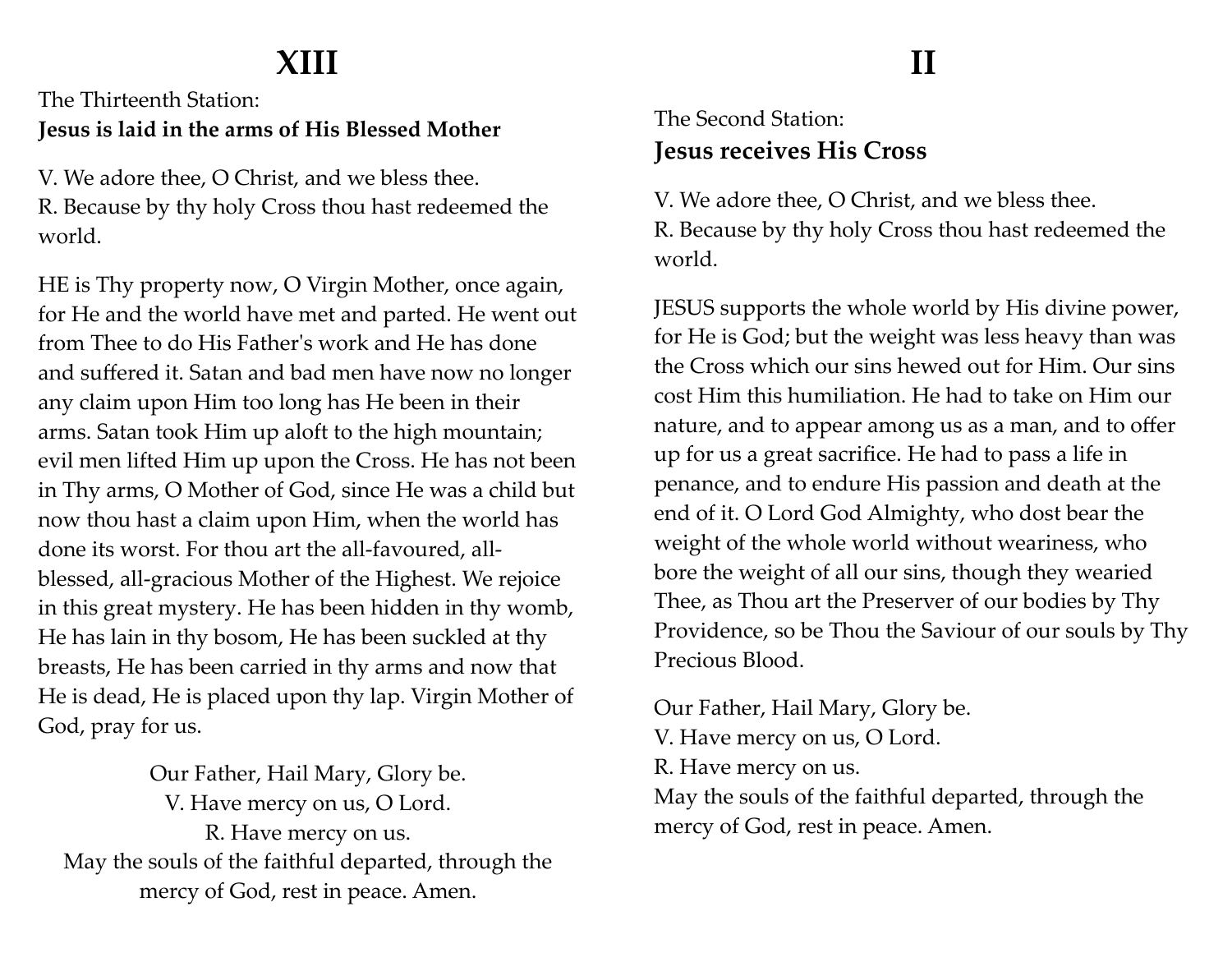### **XIII**

#### The Thirteenth Station: **Jesus is laid in the arms of His Blessed Mother**

V. We adore thee, O Christ, and we bless thee. R. Because by thy holy Cross thou hast redeemed the world.

HE is Thy property now, O Virgin Mother, once again, for He and the world have met and parted. He went out from Thee to do His Father's work and He has done and suffered it. Satan and bad men have now no longer any claim upon Him too long has He been in their arms. Satan took Him up aloft to the high mountain; evil men lifted Him up upon the Cross. He has not been in Thy arms, O Mother of God, since He was a child but now thou hast a claim upon Him, when the world has done its worst. For thou art the all-favoured, allblessed, all-gracious Mother of the Highest. We rejoice in this great mystery. He has been hidden in thy womb, He has lain in thy bosom, He has been suckled at thy breasts, He has been carried in thy arms and now that He is dead, He is placed upon thy lap. Virgin Mother of God, pray for us.

Our Father, Hail Mary, Glory be. V. Have mercy on us, O Lord. R. Have mercy on us. May the souls of the faithful departed, through the mercy of God, rest in peace. Amen.

### **II**

#### The Second Station: **Jesus receives His Cross**

V. We adore thee, O Christ, and we bless thee. R. Because by thy holy Cross thou hast redeemed the world.

JESUS supports the whole world by His divine power, for He is God; but the weight was less heavy than was the Cross which our sins hewed out for Him. Our sins cost Him this humiliation. He had to take on Him our nature, and to appear among us as a man, and to offer up for us a great sacrifice. He had to pass a life in penance, and to endure His passion and death at the end of it. O Lord God Almighty, who dost bear the weight of the whole world without weariness, who bore the weight of all our sins, though they wearied Thee, as Thou art the Preserver of our bodies by Thy Providence, so be Thou the Saviour of our souls by Thy Precious Blood.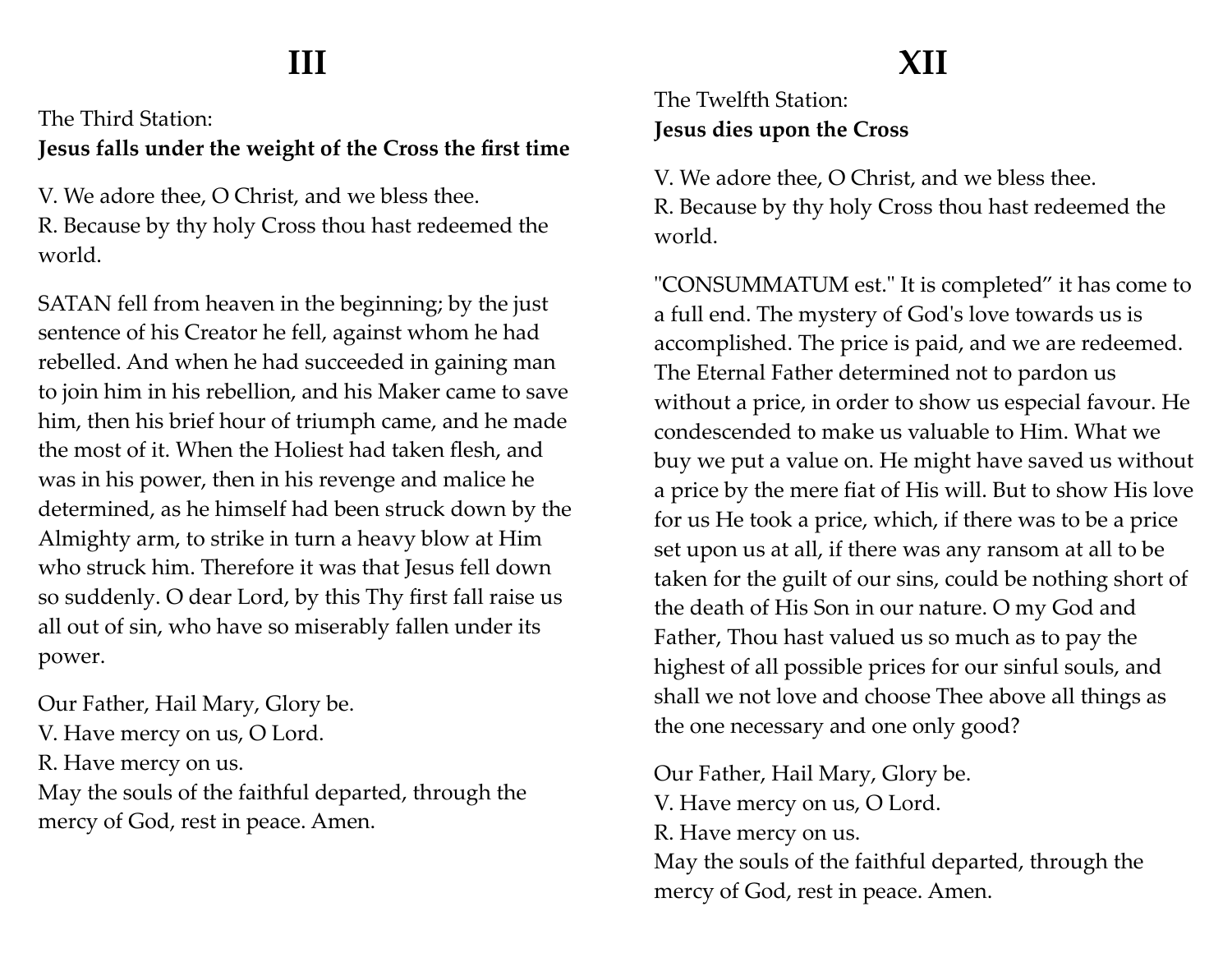# **III**

#### The Third Station:

#### **Jesus falls under the weight of the Cross the first time**

V. We adore thee, O Christ, and we bless thee. R. Because by thy holy Cross thou hast redeemed the world.

SATAN fell from heaven in the beginning; by the just sentence of his Creator he fell, against whom he had rebelled. And when he had succeeded in gaining man to join him in his rebellion, and his Maker came to save him, then his brief hour of triumph came, and he made the most of it. When the Holiest had taken flesh, and was in his power, then in his revenge and malice he determined, as he himself had been struck down by the Almighty arm, to strike in turn a heavy blow at Him who struck him. Therefore it was that Jesus fell down so suddenly. O dear Lord, by this Thy first fall raise us all out of sin, who have so miserably fallen under its power.

Our Father, Hail Mary, Glory be. V. Have mercy on us, O Lord. R. Have mercy on us. May the souls of the faithful departed, through the mercy of God, rest in peace. Amen.

# **XII**

#### The Twelfth Station: **Jesus dies upon the Cross**

V. We adore thee, O Christ, and we bless thee. R. Because by thy holy Cross thou hast redeemed the world.

"CONSUMMATUM est." It is completed" it has come to a full end. The mystery of God's love towards us is accomplished. The price is paid, and we are redeemed. The Eternal Father determined not to pardon us without a price, in order to show us especial favour. He condescended to make us valuable to Him. What we buy we put a value on. He might have saved us without a price by the mere fiat of His will. But to show His love for us He took a price, which, if there was to be a price set upon us at all, if there was any ransom at all to be taken for the guilt of our sins, could be nothing short of the death of His Son in our nature. O my God and Father, Thou hast valued us so much as to pay the highest of all possible prices for our sinful souls, and shall we not love and choose Thee above all things as the one necessary and one only good?

Our Father, Hail Mary, Glory be.

V. Have mercy on us, O Lord.

R. Have mercy on us.

May the souls of the faithful departed, through the mercy of God, rest in peace. Amen.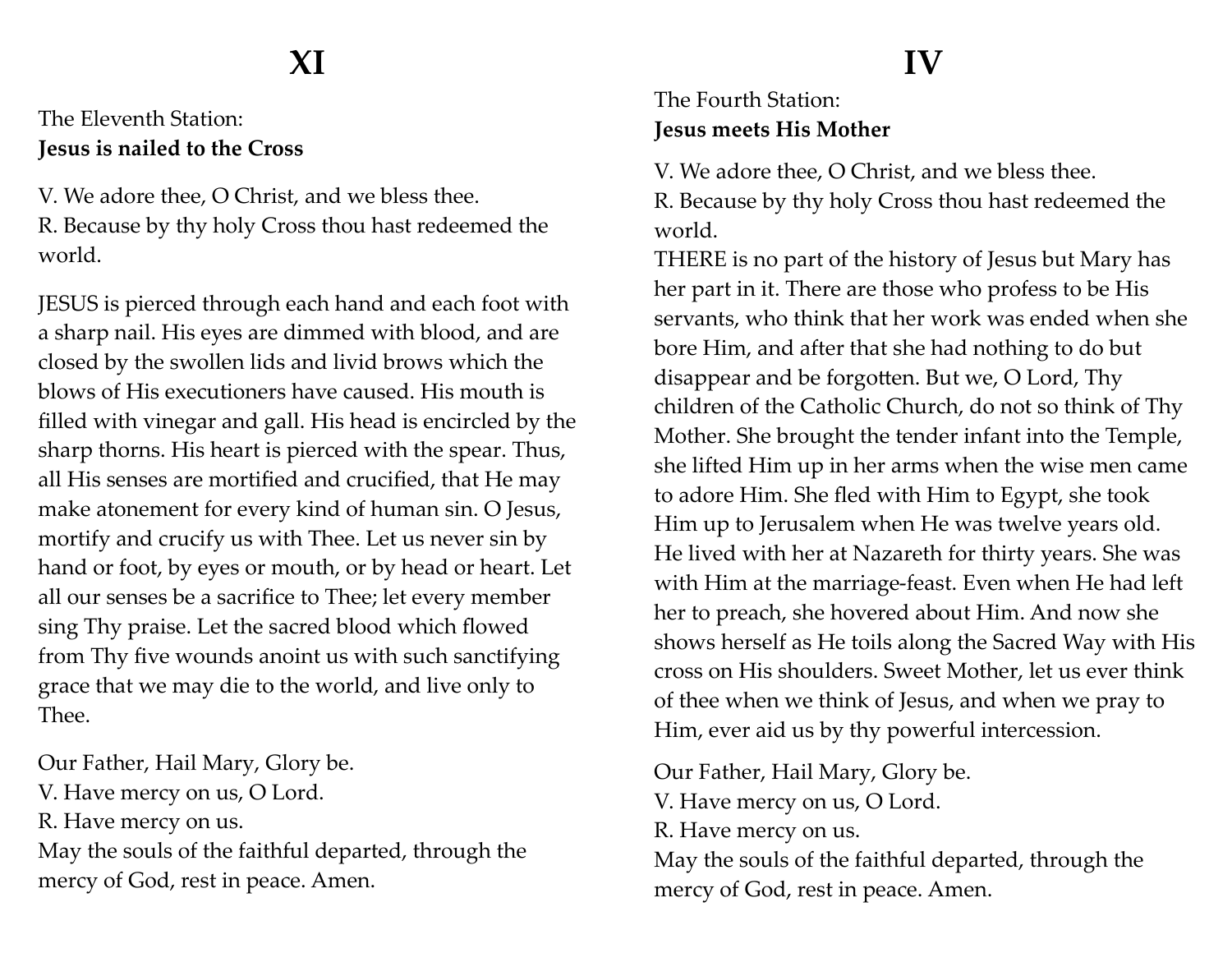# **XI**

#### The Eleventh Station: **Jesus is nailed to the Cross**

V. We adore thee, O Christ, and we bless thee. R. Because by thy holy Cross thou hast redeemed the world.

JESUS is pierced through each hand and each foot with a sharp nail. His eyes are dimmed with blood, and are closed by the swollen lids and livid brows which the blows of His executioners have caused. His mouth is filled with vinegar and gall. His head is encircled by the sharp thorns. His heart is pierced with the spear. Thus, all His senses are mortified and crucified, that He may make atonement for every kind of human sin. O Jesus, mortify and crucify us with Thee. Let us never sin by hand or foot, by eyes or mouth, or by head or heart. Let all our senses be a sacrifice to Thee; let every member sing Thy praise. Let the sacred blood which flowed from Thy five wounds anoint us with such sanctifying grace that we may die to the world, and live only to Thee.

Our Father, Hail Mary, Glory be. V. Have mercy on us, O Lord. R. Have mercy on us. May the souls of the faithful departed, through the mercy of God, rest in peace. Amen.

### **IV**

#### The Fourth Station: **Jesus meets His Mother**

V. We adore thee, O Christ, and we bless thee.

R. Because by thy holy Cross thou hast redeemed the world.

THERE is no part of the history of Jesus but Mary has her part in it. There are those who profess to be His servants, who think that her work was ended when she bore Him, and after that she had nothing to do but disappear and be forgotten. But we, O Lord, Thy children of the Catholic Church, do not so think of Thy Mother. She brought the tender infant into the Temple, she lifted Him up in her arms when the wise men came to adore Him. She fled with Him to Egypt, she took Him up to Jerusalem when He was twelve years old. He lived with her at Nazareth for thirty years. She was with Him at the marriage-feast. Even when He had left her to preach, she hovered about Him. And now she shows herself as He toils along the Sacred Way with His cross on His shoulders. Sweet Mother, let us ever think of thee when we think of Jesus, and when we pray to Him, ever aid us by thy powerful intercession.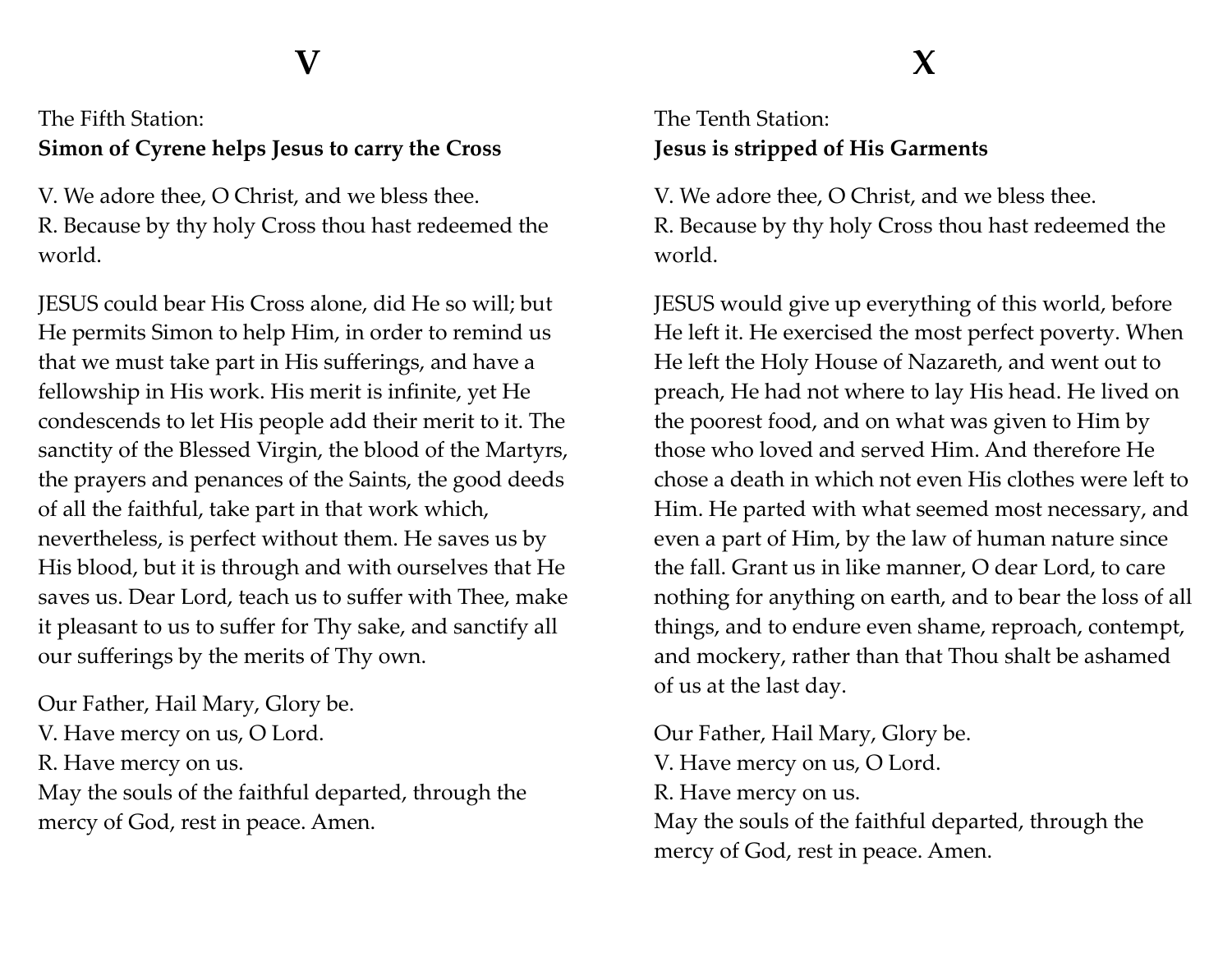### **V**

#### The Fifth Station: **Simon of Cyrene helps Jesus to carry the Cross**

V. We adore thee, O Christ, and we bless thee. R. Because by thy holy Cross thou hast redeemed the world.

JESUS could bear His Cross alone, did He so will; but He permits Simon to help Him, in order to remind us that we must take part in His sufferings, and have a fellowship in His work. His merit is infinite, yet He condescends to let His people add their merit to it. The sanctity of the Blessed Virgin, the blood of the Martyrs, the prayers and penances of the Saints, the good deeds of all the faithful, take part in that work which, nevertheless, is perfect without them. He saves us by His blood, but it is through and with ourselves that He saves us. Dear Lord, teach us to suffer with Thee, make it pleasant to us to suffer for Thy sake, and sanctify all our sufferings by the merits of Thy own.

Our Father, Hail Mary, Glory be. V. Have mercy on us, O Lord. R. Have mercy on us. May the souls of the faithful departed, through the mercy of God, rest in peace. Amen.

#### The Tenth Station: **Jesus is stripped of His Garments**

V. We adore thee, O Christ, and we bless thee. R. Because by thy holy Cross thou hast redeemed the world.

**X**

JESUS would give up everything of this world, before He left it. He exercised the most perfect poverty. When He left the Holy House of Nazareth, and went out to preach, He had not where to lay His head. He lived on the poorest food, and on what was given to Him by those who loved and served Him. And therefore He chose a death in which not even His clothes were left to Him. He parted with what seemed most necessary, and even a part of Him, by the law of human nature since the fall. Grant us in like manner, O dear Lord, to care nothing for anything on earth, and to bear the loss of all things, and to endure even shame, reproach, contempt, and mockery, rather than that Thou shalt be ashamed of us at the last day.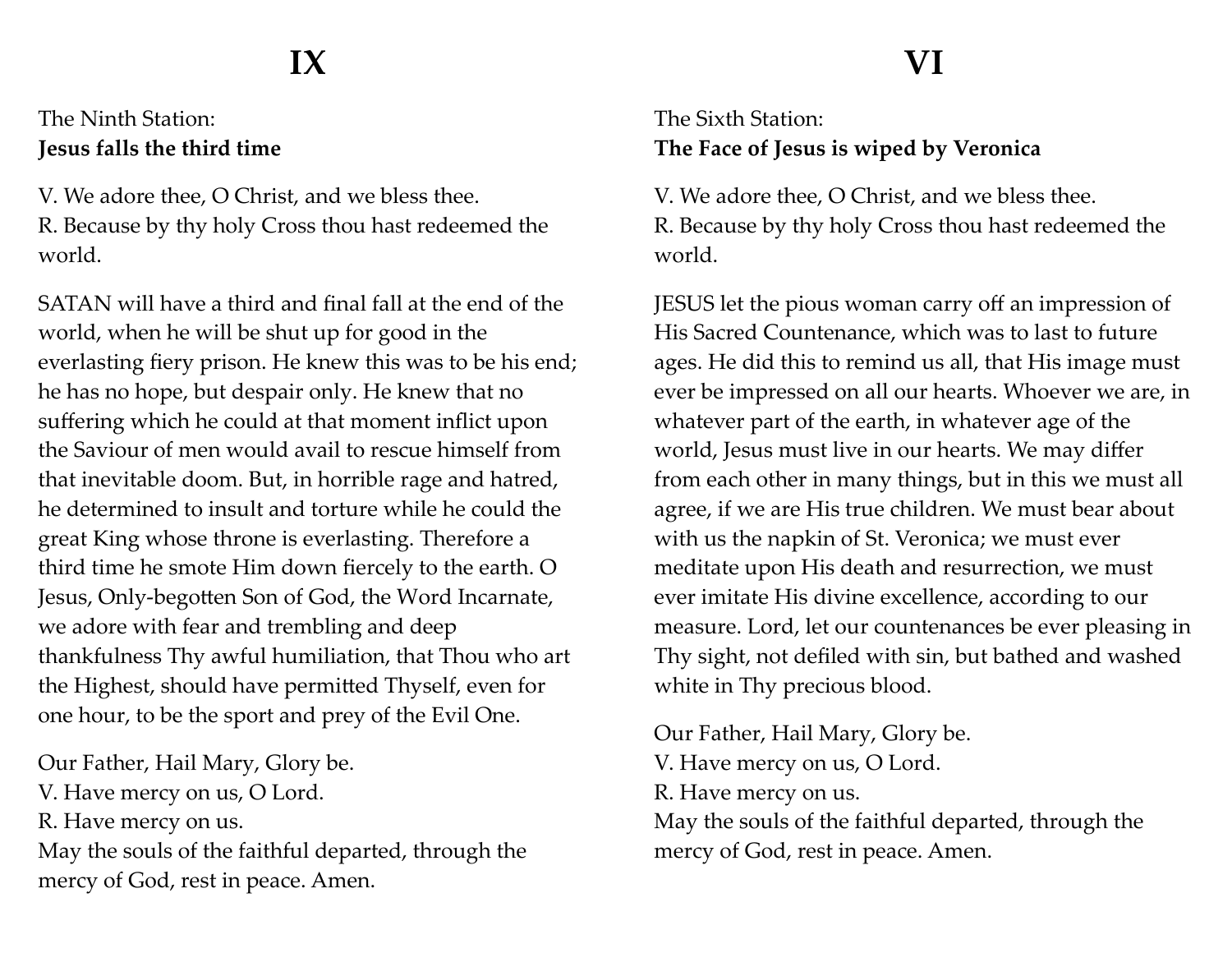# **IX**

#### The Ninth Station: **Jesus falls the third time**

V. We adore thee, O Christ, and we bless thee. R. Because by thy holy Cross thou hast redeemed the world.

SATAN will have a third and final fall at the end of the world, when he will be shut up for good in the everlasting fiery prison. He knew this was to be his end; he has no hope, but despair only. He knew that no suffering which he could at that moment inflict upon the Saviour of men would avail to rescue himself from that inevitable doom. But, in horrible rage and hatred, he determined to insult and torture while he could the great King whose throne is everlasting. Therefore a third time he smote Him down fiercely to the earth. O Jesus, Only-begotten Son of God, the Word Incarnate, we adore with fear and trembling and deep thankfulness Thy awful humiliation, that Thou who art the Highest, should have permitted Thyself, even for one hour, to be the sport and prey of the Evil One.

Our Father, Hail Mary, Glory be. V. Have mercy on us, O Lord. R. Have mercy on us. May the souls of the faithful departed, through the mercy of God, rest in peace. Amen.

### **VI**

The Sixth Station: **The Face of Jesus is wiped by Veronica**

V. We adore thee, O Christ, and we bless thee. R. Because by thy holy Cross thou hast redeemed the world.

JESUS let the pious woman carry off an impression of His Sacred Countenance, which was to last to future ages. He did this to remind us all, that His image must ever be impressed on all our hearts. Whoever we are, in whatever part of the earth, in whatever age of the world, Jesus must live in our hearts. We may differ from each other in many things, but in this we must all agree, if we are His true children. We must bear about with us the napkin of St. Veronica; we must ever meditate upon His death and resurrection, we must ever imitate His divine excellence, according to our measure. Lord, let our countenances be ever pleasing in Thy sight, not defiled with sin, but bathed and washed white in Thy precious blood.